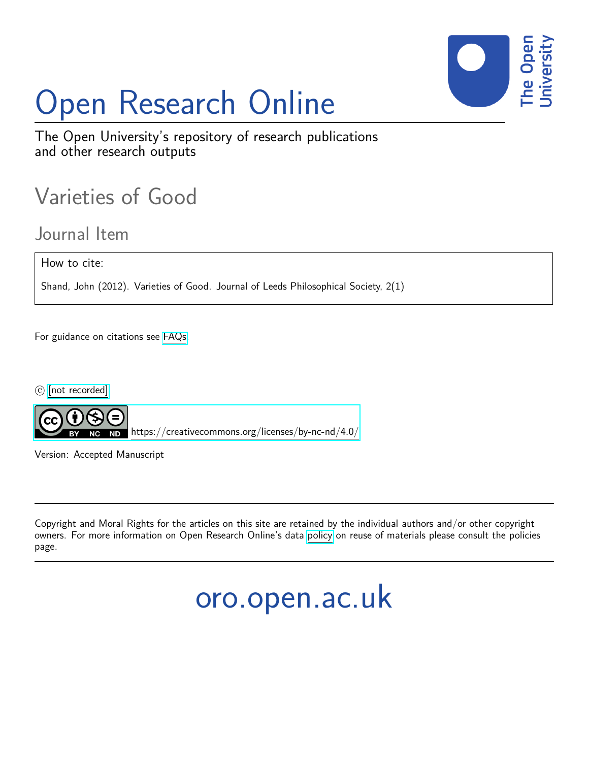

# Open Research Online

The Open University's repository of research publications and other research outputs

Varieties of Good

Journal Item

How to cite:

Shand, John (2012). Varieties of Good. Journal of Leeds Philosophical Society, 2(1)

For guidance on citations see [FAQs.](http://oro.open.ac.uk/help/helpfaq.html)

 $\circled{c}$  [\[not recorded\]](http://oro.open.ac.uk/help/helpfaq.html#Unrecorded_information_on_coversheet)



<https://creativecommons.org/licenses/by-nc-nd/4.0/>

Version: Accepted Manuscript

Copyright and Moral Rights for the articles on this site are retained by the individual authors and/or other copyright owners. For more information on Open Research Online's data [policy](http://oro.open.ac.uk/policies.html) on reuse of materials please consult the policies page.

oro.open.ac.uk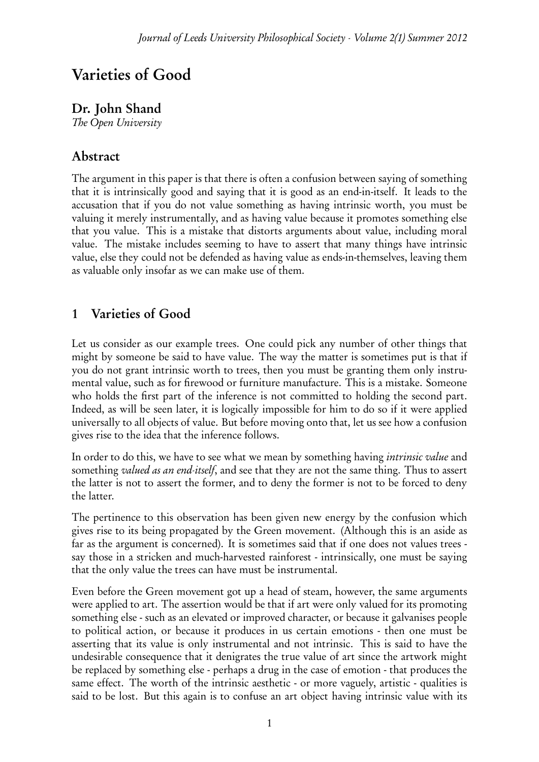## Varieties of Good

Dr. John Shand

The Open University

#### Abstract

The argument in this paper is that there is often a confusion between saying of something that it is intrinsically good and saying that it is good as an end-in-itself. It leads to the accusation that if you do not value something as having intrinsic worth, you must be valuing it merely instrumentally, and as having value because it promotes something else that you value. This is a mistake that distorts arguments about value, including moral value. The mistake includes seeming to have to assert that many things have intrinsic value, else they could not be defended as having value as ends-in-themselves, leaving them as valuable only insofar as we can make use of them.

### 1 Varieties of Good

Let us consider as our example trees. One could pick any number of other things that might by someone be said to have value. The way the matter is sometimes put is that if you do not grant intrinsic worth to trees, then you must be granting them only instrumental value, such as for firewood or furniture manufacture. This is a mistake. Someone who holds the first part of the inference is not committed to holding the second part. Indeed, as will be seen later, it is logically impossible for him to do so if it were applied universally to all objects of value. But before moving onto that, let us see how a confusion gives rise to the idea that the inference follows.

In order to do this, we have to see what we mean by something having *intrinsic value* and something *valued as an end-itself*, and see that they are not the same thing. Thus to assert the latter is not to assert the former, and to deny the former is not to be forced to deny the latter.

The pertinence to this observation has been given new energy by the confusion which gives rise to its being propagated by the Green movement. (Although this is an aside as far as the argument is concerned). It is sometimes said that if one does not values trees say those in a stricken and much-harvested rainforest - intrinsically, one must be saying that the only value the trees can have must be instrumental.

Even before the Green movement got up a head of steam, however, the same arguments were applied to art. The assertion would be that if art were only valued for its promoting something else - such as an elevated or improved character, or because it galvanises people to political action, or because it produces in us certain emotions - then one must be asserting that its value is only instrumental and not intrinsic. This is said to have the undesirable consequence that it denigrates the true value of art since the artwork might be replaced by something else - perhaps a drug in the case of emotion - that produces the same effect. The worth of the intrinsic aesthetic - or more vaguely, artistic - qualities is said to be lost. But this again is to confuse an art object having intrinsic value with its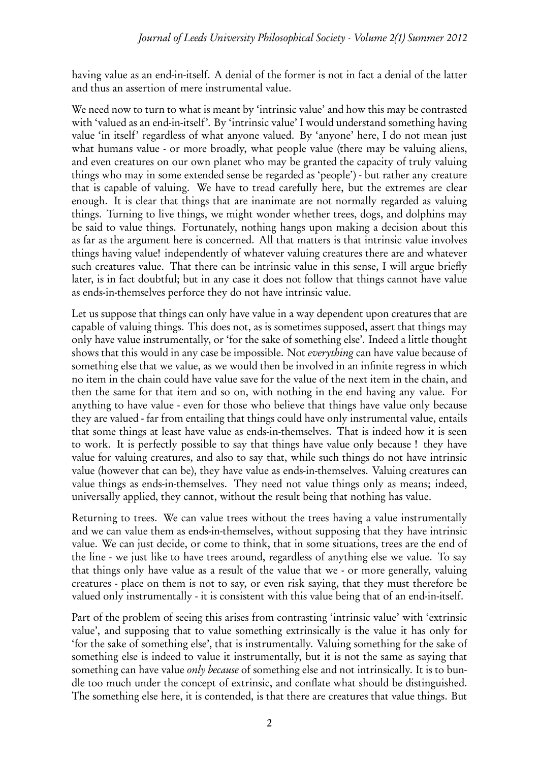having value as an end-in-itself. A denial of the former is not in fact a denial of the latter and thus an assertion of mere instrumental value.

We need now to turn to what is meant by 'intrinsic value' and how this may be contrasted with 'valued as an end-in-itself'. By 'intrinsic value' I would understand something having value 'in itself' regardless of what anyone valued. By 'anyone' here, I do not mean just what humans value - or more broadly, what people value (there may be valuing aliens, and even creatures on our own planet who may be granted the capacity of truly valuing things who may in some extended sense be regarded as 'people') - but rather any creature that is capable of valuing. We have to tread carefully here, but the extremes are clear enough. It is clear that things that are inanimate are not normally regarded as valuing things. Turning to live things, we might wonder whether trees, dogs, and dolphins may be said to value things. Fortunately, nothing hangs upon making a decision about this as far as the argument here is concerned. All that matters is that intrinsic value involves things having value! independently of whatever valuing creatures there are and whatever such creatures value. That there can be intrinsic value in this sense, I will argue briefly later, is in fact doubtful; but in any case it does not follow that things cannot have value as ends-in-themselves perforce they do not have intrinsic value.

Let us suppose that things can only have value in a way dependent upon creatures that are capable of valuing things. This does not, as is sometimes supposed, assert that things may only have value instrumentally, or 'for the sake of something else'. Indeed a little thought shows that this would in any case be impossible. Not *everything* can have value because of something else that we value, as we would then be involved in an infinite regress in which no item in the chain could have value save for the value of the next item in the chain, and then the same for that item and so on, with nothing in the end having any value. For anything to have value - even for those who believe that things have value only because they are valued - far from entailing that things could have only instrumental value, entails that some things at least have value as ends-in-themselves. That is indeed how it is seen to work. It is perfectly possible to say that things have value only because ! they have value for valuing creatures, and also to say that, while such things do not have intrinsic value (however that can be), they have value as ends-in-themselves. Valuing creatures can value things as ends-in-themselves. They need not value things only as means; indeed, universally applied, they cannot, without the result being that nothing has value.

Returning to trees. We can value trees without the trees having a value instrumentally and we can value them as ends-in-themselves, without supposing that they have intrinsic value. We can just decide, or come to think, that in some situations, trees are the end of the line - we just like to have trees around, regardless of anything else we value. To say that things only have value as a result of the value that we - or more generally, valuing creatures - place on them is not to say, or even risk saying, that they must therefore be valued only instrumentally - it is consistent with this value being that of an end-in-itself.

Part of the problem of seeing this arises from contrasting 'intrinsic value' with 'extrinsic value', and supposing that to value something extrinsically is the value it has only for 'for the sake of something else', that is instrumentally. Valuing something for the sake of something else is indeed to value it instrumentally, but it is not the same as saying that something can have value *only because* of something else and not intrinsically. It is to bundle too much under the concept of extrinsic, and conflate what should be distinguished. The something else here, it is contended, is that there are creatures that value things. But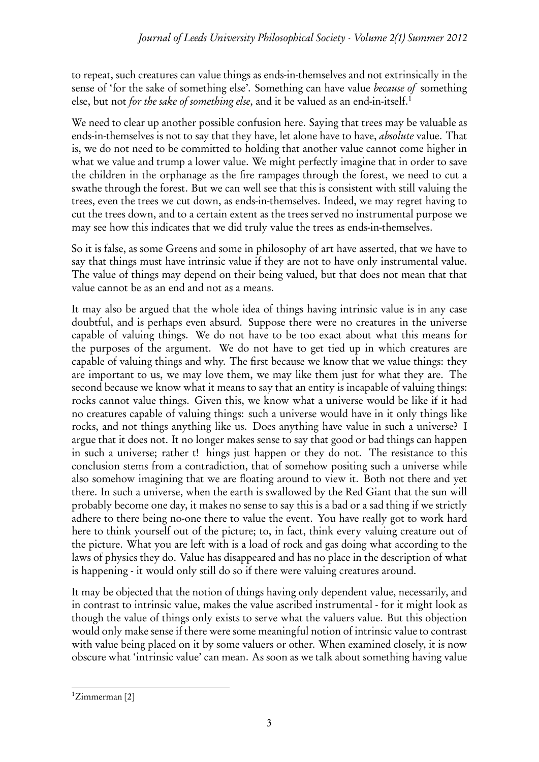to repeat, such creatures can value things as ends-in-themselves and not extrinsically in the sense of 'for the sake of something else'. Something can have value because of something else, but not *for the sake of something else*, and it be valued as an end-in-itself.<sup>1</sup>

We need to clear up another possible confusion here. Saying that trees may be valuable as ends-in-themselves is not to say that they have, let alone have to have, *absolute* value. That is, we do not need to be committed to holding that another value cannot come higher in what we value and trump a lower value. We might perfectly imagine that in order to save the children in the orphanage as the fire rampages through the forest, we need to cut a swathe through the forest. But we can well see that this is consistent with still valuing the trees, even the trees we cut down, as ends-in-themselves. Indeed, we may regret having to cut the trees down, and to a certain extent as the trees served no instrumental purpose we may see how this indicates that we did truly value the trees as ends-in-themselves.

So it is false, as some Greens and some in philosophy of art have asserted, that we have to say that things must have intrinsic value if they are not to have only instrumental value. The value of things may depend on their being valued, but that does not mean that that value cannot be as an end and not as a means.

It may also be argued that the whole idea of things having intrinsic value is in any case doubtful, and is perhaps even absurd. Suppose there were no creatures in the universe capable of valuing things. We do not have to be too exact about what this means for the purposes of the argument. We do not have to get tied up in which creatures are capable of valuing things and why. The first because we know that we value things: they are important to us, we may love them, we may like them just for what they are. The second because we know what it means to say that an entity is incapable of valuing things: rocks cannot value things. Given this, we know what a universe would be like if it had no creatures capable of valuing things: such a universe would have in it only things like rocks, and not things anything like us. Does anything have value in such a universe? I argue that it does not. It no longer makes sense to say that good or bad things can happen in such a universe; rather t! hings just happen or they do not. The resistance to this conclusion stems from a contradiction, that of somehow positing such a universe while also somehow imagining that we are floating around to view it. Both not there and yet there. In such a universe, when the earth is swallowed by the Red Giant that the sun will probably become one day, it makes no sense to say this is a bad or a sad thing if we strictly adhere to there being no-one there to value the event. You have really got to work hard here to think yourself out of the picture; to, in fact, think every valuing creature out of the picture. What you are left with is a load of rock and gas doing what according to the laws of physics they do. Value has disappeared and has no place in the description of what is happening - it would only still do so if there were valuing creatures around.

It may be objected that the notion of things having only dependent value, necessarily, and in contrast to intrinsic value, makes the value ascribed instrumental - for it might look as though the value of things only exists to serve what the valuers value. But this objection would only make sense if there were some meaningful notion of intrinsic value to contrast with value being placed on it by some valuers or other. When examined closely, it is now obscure what 'intrinsic value' can mean. As soon as we talk about something having value

 $1$ Zimmerman [2]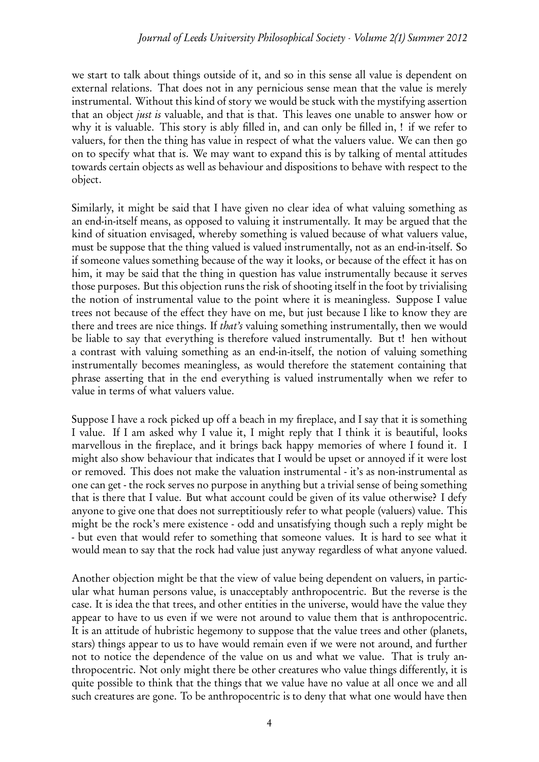we start to talk about things outside of it, and so in this sense all value is dependent on external relations. That does not in any pernicious sense mean that the value is merely instrumental. Without this kind of story we would be stuck with the mystifying assertion that an object just is valuable, and that is that. This leaves one unable to answer how or why it is valuable. This story is ably filled in, and can only be filled in, ! if we refer to valuers, for then the thing has value in respect of what the valuers value. We can then go on to specify what that is. We may want to expand this is by talking of mental attitudes towards certain objects as well as behaviour and dispositions to behave with respect to the object.

Similarly, it might be said that I have given no clear idea of what valuing something as an end-in-itself means, as opposed to valuing it instrumentally. It may be argued that the kind of situation envisaged, whereby something is valued because of what valuers value, must be suppose that the thing valued is valued instrumentally, not as an end-in-itself. So if someone values something because of the way it looks, or because of the effect it has on him, it may be said that the thing in question has value instrumentally because it serves those purposes. But this objection runs the risk of shooting itself in the foot by trivialising the notion of instrumental value to the point where it is meaningless. Suppose I value trees not because of the effect they have on me, but just because I like to know they are there and trees are nice things. If *that's* valuing something instrumentally, then we would be liable to say that everything is therefore valued instrumentally. But t! hen without a contrast with valuing something as an end-in-itself, the notion of valuing something instrumentally becomes meaningless, as would therefore the statement containing that phrase asserting that in the end everything is valued instrumentally when we refer to value in terms of what valuers value.

Suppose I have a rock picked up off a beach in my fireplace, and I say that it is something I value. If I am asked why I value it, I might reply that I think it is beautiful, looks marvellous in the fireplace, and it brings back happy memories of where I found it. I might also show behaviour that indicates that I would be upset or annoyed if it were lost or removed. This does not make the valuation instrumental - it's as non-instrumental as one can get - the rock serves no purpose in anything but a trivial sense of being something that is there that I value. But what account could be given of its value otherwise? I defy anyone to give one that does not surreptitiously refer to what people (valuers) value. This might be the rock's mere existence - odd and unsatisfying though such a reply might be - but even that would refer to something that someone values. It is hard to see what it would mean to say that the rock had value just anyway regardless of what anyone valued.

Another objection might be that the view of value being dependent on valuers, in particular what human persons value, is unacceptably anthropocentric. But the reverse is the case. It is idea the that trees, and other entities in the universe, would have the value they appear to have to us even if we were not around to value them that is anthropocentric. It is an attitude of hubristic hegemony to suppose that the value trees and other (planets, stars) things appear to us to have would remain even if we were not around, and further not to notice the dependence of the value on us and what we value. That is truly anthropocentric. Not only might there be other creatures who value things differently, it is quite possible to think that the things that we value have no value at all once we and all such creatures are gone. To be anthropocentric is to deny that what one would have then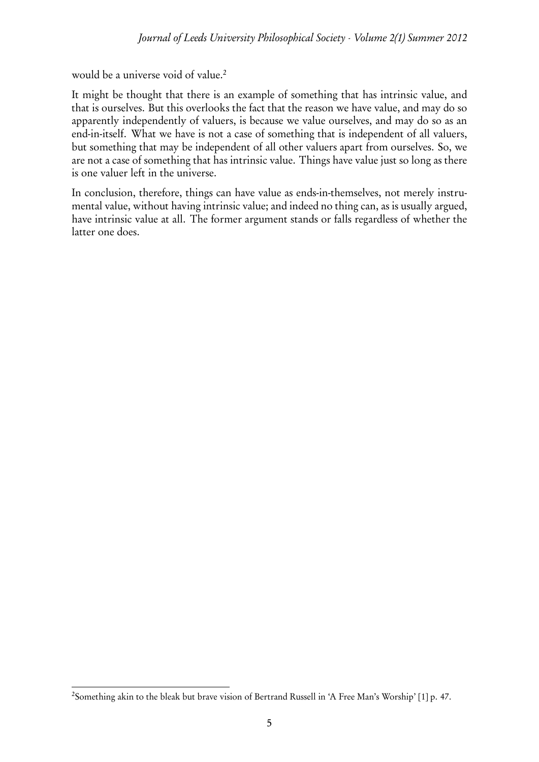would be a universe void of value.<sup>2</sup>

It might be thought that there is an example of something that has intrinsic value, and that is ourselves. But this overlooks the fact that the reason we have value, and may do so apparently independently of valuers, is because we value ourselves, and may do so as an end-in-itself. What we have is not a case of something that is independent of all valuers, but something that may be independent of all other valuers apart from ourselves. So, we are not a case of something that has intrinsic value. Things have value just so long as there is one valuer left in the universe.

In conclusion, therefore, things can have value as ends-in-themselves, not merely instrumental value, without having intrinsic value; and indeed no thing can, as is usually argued, have intrinsic value at all. The former argument stands or falls regardless of whether the latter one does.

<sup>2</sup> Something akin to the bleak but brave vision of Bertrand Russell in 'A Free Man's Worship' [1] p. 47.